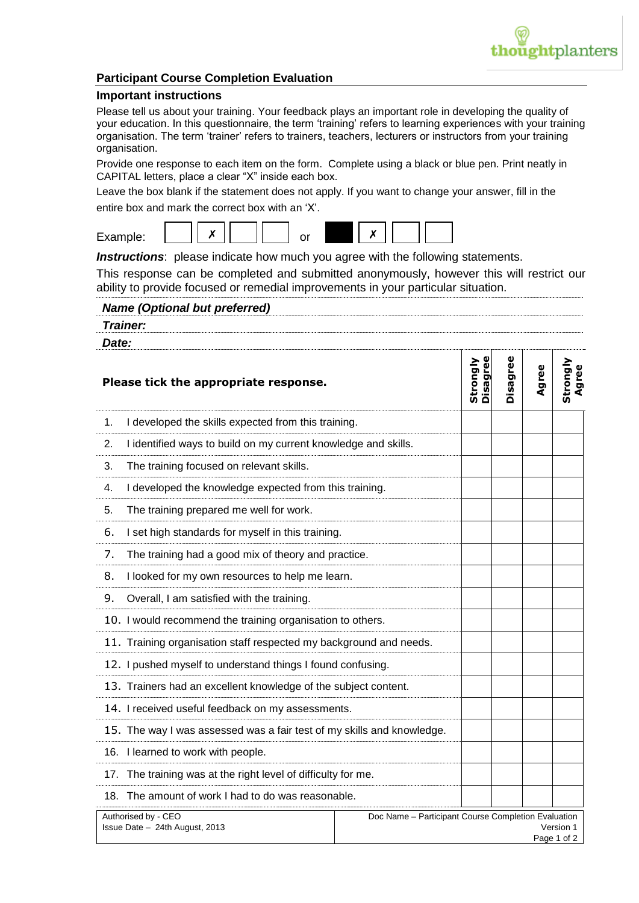

## **Participant Course Completion Evaluation**

## **Important instructions**

Please tell us about your training. Your feedback plays an important role in developing the quality of your education. In this questionnaire, the term 'training' refers to learning experiences with your training organisation. The term 'trainer' refers to trainers, teachers, lecturers or instructors from your training organisation.

Provide one response to each item on the form. Complete using a black or blue pen. Print neatly in CAPITAL letters, place a clear "X" inside each box.

Leave the box blank if the statement does not apply. If you want to change your answer, fill in the entire box and mark the correct box with an 'X'.



**Instructions**: please indicate how much you agree with the following statements.

This response can be completed and submitted anonymously, however this will restrict our ability to provide focused or remedial improvements in your particular situation.

| <b>Name (Optional but preferred)</b> |
|--------------------------------------|
| <b>Trainer:</b>                      |
| Date:                                |

| Please tick the appropriate response.                                  |                                                                                 | Disagree<br>Strongly | Disagree | Agree | Strongly<br>Agree |
|------------------------------------------------------------------------|---------------------------------------------------------------------------------|----------------------|----------|-------|-------------------|
| I developed the skills expected from this training.<br>1.              |                                                                                 |                      |          |       |                   |
| I identified ways to build on my current knowledge and skills.<br>2.   |                                                                                 |                      |          |       |                   |
| The training focused on relevant skills.<br>3.                         |                                                                                 |                      |          |       |                   |
| 4.<br>I developed the knowledge expected from this training.           |                                                                                 |                      |          |       |                   |
| The training prepared me well for work.<br>5.                          |                                                                                 |                      |          |       |                   |
| 6.<br>I set high standards for myself in this training.                |                                                                                 |                      |          |       |                   |
| 7.<br>The training had a good mix of theory and practice.              |                                                                                 |                      |          |       |                   |
| 8.<br>I looked for my own resources to help me learn.                  |                                                                                 |                      |          |       |                   |
| 9.<br>Overall, I am satisfied with the training.                       |                                                                                 |                      |          |       |                   |
| 10. I would recommend the training organisation to others.             |                                                                                 |                      |          |       |                   |
| 11. Training organisation staff respected my background and needs.     |                                                                                 |                      |          |       |                   |
| 12. I pushed myself to understand things I found confusing.            |                                                                                 |                      |          |       |                   |
| 13. Trainers had an excellent knowledge of the subject content.        |                                                                                 |                      |          |       |                   |
| 14. I received useful feedback on my assessments.                      |                                                                                 |                      |          |       |                   |
| 15. The way I was assessed was a fair test of my skills and knowledge. |                                                                                 |                      |          |       |                   |
| 16. I learned to work with people.                                     |                                                                                 |                      |          |       |                   |
| 17. The training was at the right level of difficulty for me.          |                                                                                 |                      |          |       |                   |
| 18. The amount of work I had to do was reasonable.                     |                                                                                 |                      |          |       |                   |
| Authorised by - CEO<br>Issue Date - 24th August, 2013                  | Doc Name - Participant Course Completion Evaluation<br>Version 1<br>Page 1 of 2 |                      |          |       |                   |